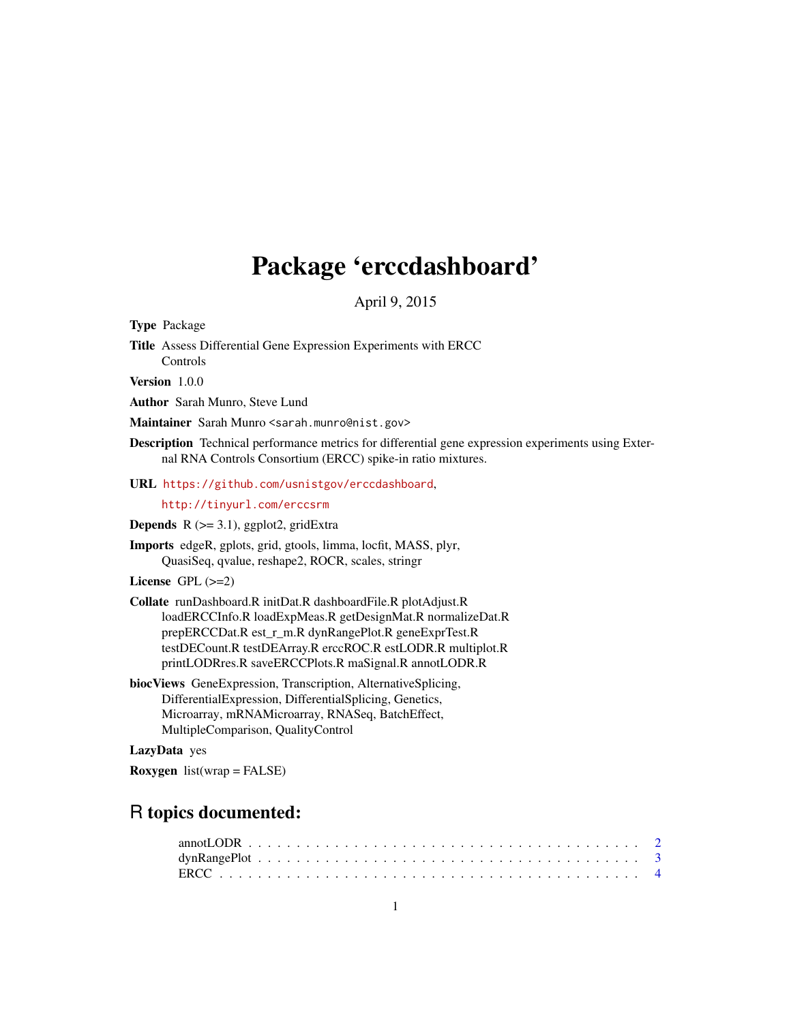## Package 'erccdashboard'

April 9, 2015

Type Package

Title Assess Differential Gene Expression Experiments with ERCC Controls

Version 1.0.0

Author Sarah Munro, Steve Lund

Maintainer Sarah Munro <sarah.munro@nist.gov>

Description Technical performance metrics for differential gene expression experiments using External RNA Controls Consortium (ERCC) spike-in ratio mixtures.

URL <https://github.com/usnistgov/erccdashboard>,

<http://tinyurl.com/erccsrm>

Depends R (>= 3.1), ggplot2, gridExtra

Imports edgeR, gplots, grid, gtools, limma, locfit, MASS, plyr, QuasiSeq, qvalue, reshape2, ROCR, scales, stringr

License GPL  $(>=2)$ 

Collate runDashboard.R initDat.R dashboardFile.R plotAdjust.R loadERCCInfo.R loadExpMeas.R getDesignMat.R normalizeDat.R prepERCCDat.R est\_r\_m.R dynRangePlot.R geneExprTest.R testDECount.R testDEArray.R erccROC.R estLODR.R multiplot.R printLODRres.R saveERCCPlots.R maSignal.R annotLODR.R

biocViews GeneExpression, Transcription, AlternativeSplicing, DifferentialExpression, DifferentialSplicing, Genetics, Microarray, mRNAMicroarray, RNASeq, BatchEffect, MultipleComparison, QualityControl

## LazyData yes

**Roxygen** list(wrap = FALSE)

## R topics documented: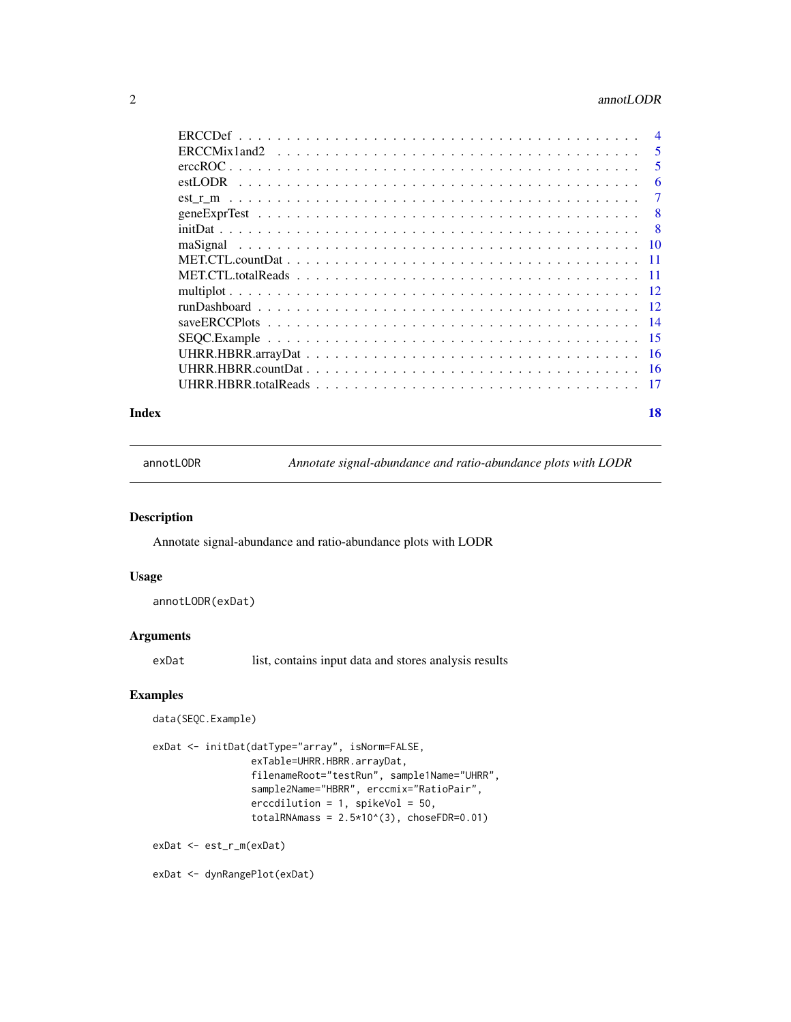## <span id="page-1-0"></span>2 annotLODR

| 5   |
|-----|
| 5   |
| 6   |
| 7   |
| -8  |
| - 8 |
|     |
|     |
|     |
|     |
|     |
|     |
|     |
|     |
|     |
|     |
|     |

#### **Index** 2008 **[18](#page-17-0)**

annotLODR *Annotate signal-abundance and ratio-abundance plots with LODR*

## Description

Annotate signal-abundance and ratio-abundance plots with LODR

## Usage

```
annotLODR(exDat)
```
#### Arguments

exDat list, contains input data and stores analysis results

## Examples

```
data(SEQC.Example)
```

```
exDat <- initDat(datType="array", isNorm=FALSE,
                 exTable=UHRR.HBRR.arrayDat,
                 filenameRoot="testRun", sample1Name="UHRR",
                 sample2Name="HBRR", erccmix="RatioPair",
                 erccdilution = 1, spikeVol = 50,
                 totalRNAmass = 2.5*10^(3), choseFDR=0.01)
exDat <- est_r_m(exDat)
```
exDat <- dynRangePlot(exDat)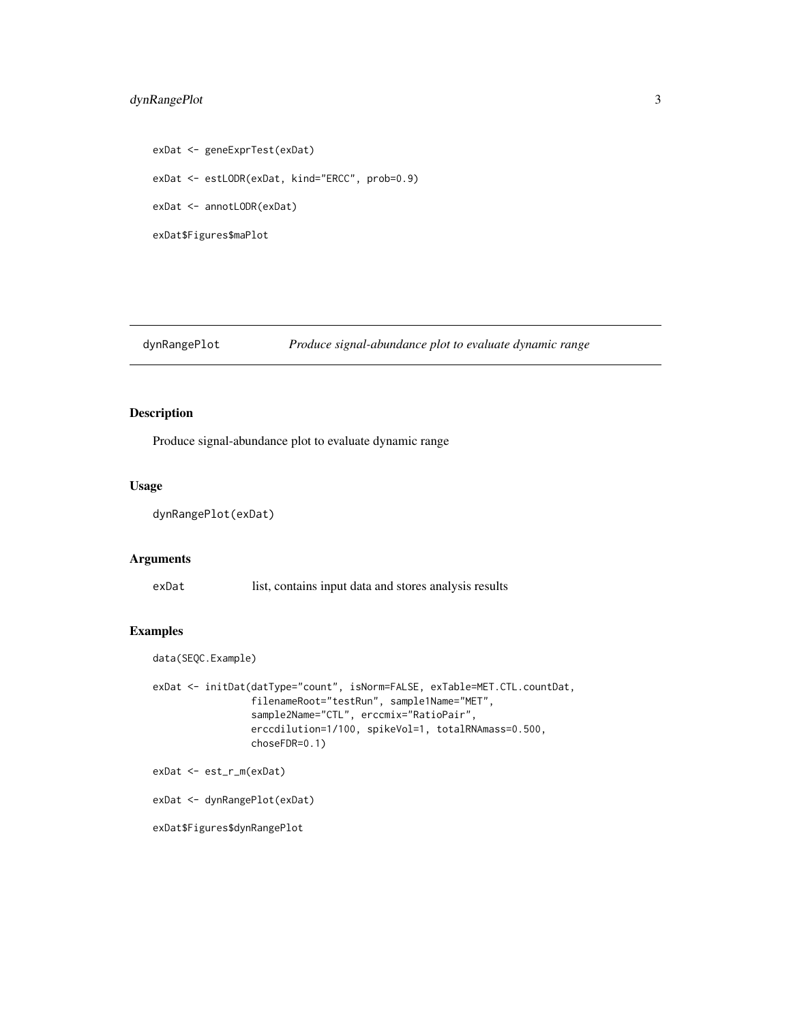## <span id="page-2-0"></span>dynRangePlot 3

```
exDat <- geneExprTest(exDat)
exDat <- estLODR(exDat, kind="ERCC", prob=0.9)
exDat <- annotLODR(exDat)
exDat$Figures$maPlot
```
dynRangePlot *Produce signal-abundance plot to evaluate dynamic range*

## Description

Produce signal-abundance plot to evaluate dynamic range

## Usage

dynRangePlot(exDat)

#### Arguments

exDat list, contains input data and stores analysis results

## Examples

data(SEQC.Example)

```
exDat <- initDat(datType="count", isNorm=FALSE, exTable=MET.CTL.countDat,
                 filenameRoot="testRun", sample1Name="MET",
                 sample2Name="CTL", erccmix="RatioPair",
                 erccdilution=1/100, spikeVol=1, totalRNAmass=0.500,
                 choseFDR=0.1)
```
exDat <- est\_r\_m(exDat)

exDat <- dynRangePlot(exDat)

exDat\$Figures\$dynRangePlot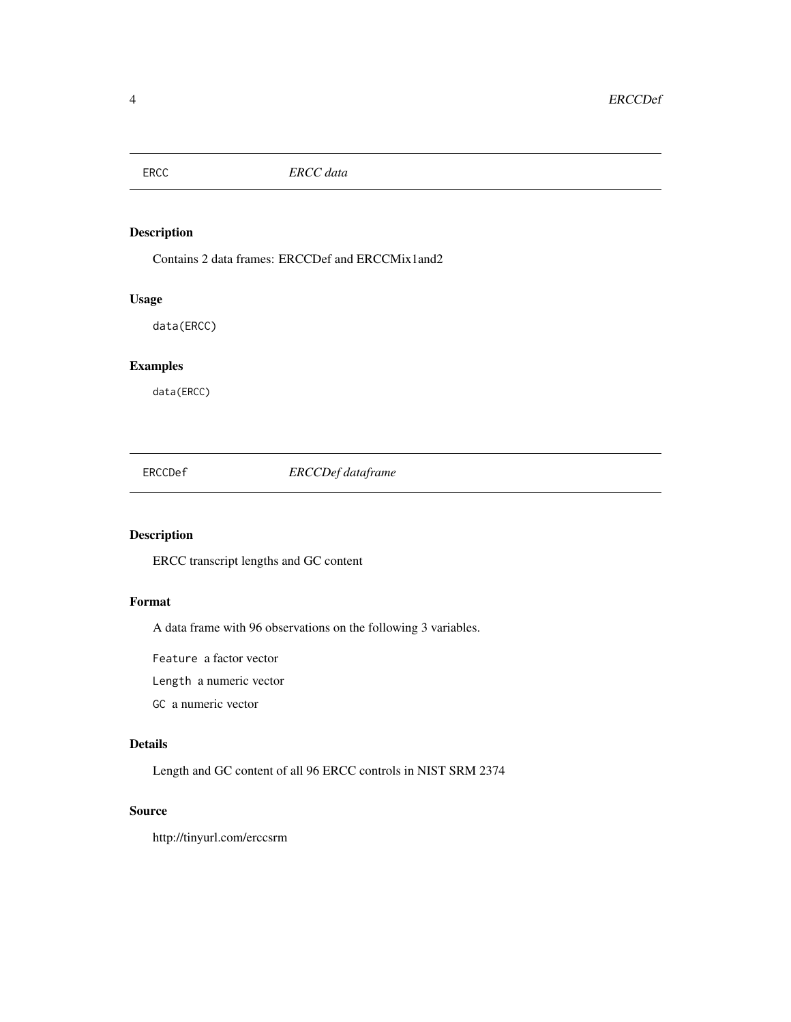<span id="page-3-0"></span>

Contains 2 data frames: ERCCDef and ERCCMix1and2

## Usage

data(ERCC)

## Examples

data(ERCC)

ERCCDef *ERCCDef dataframe*

## Description

ERCC transcript lengths and GC content

## Format

A data frame with 96 observations on the following 3 variables.

Feature a factor vector

Length a numeric vector

GC a numeric vector

#### Details

Length and GC content of all 96 ERCC controls in NIST SRM 2374

## Source

http://tinyurl.com/erccsrm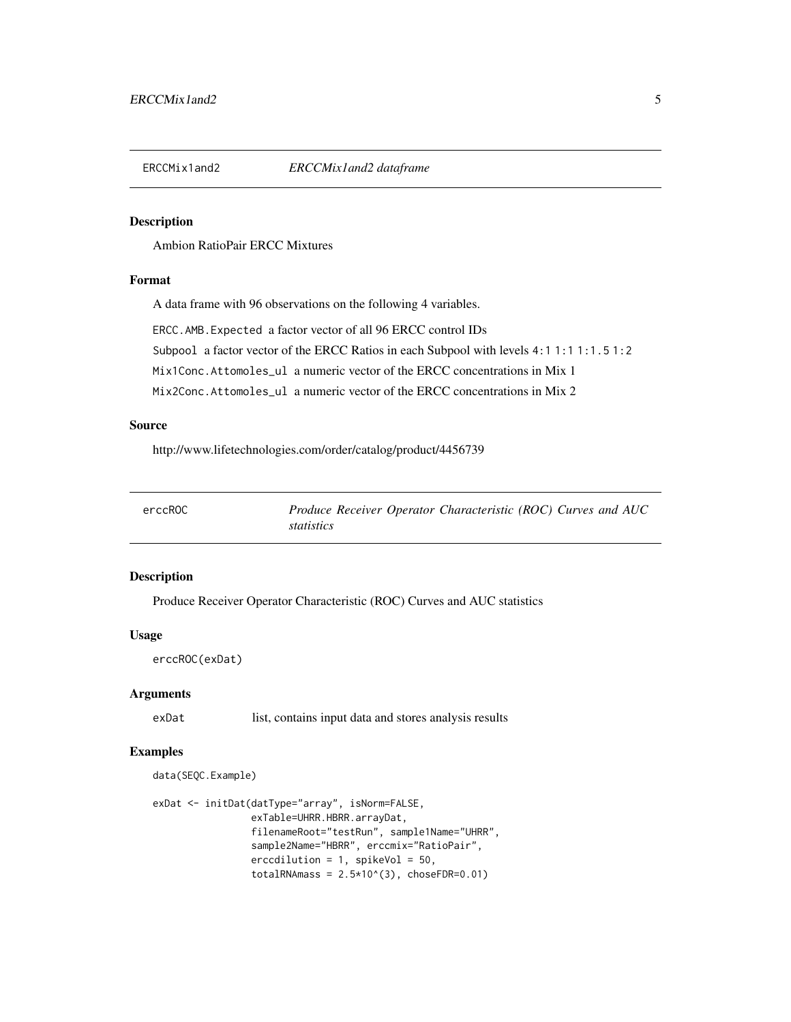<span id="page-4-0"></span>

Ambion RatioPair ERCC Mixtures

## Format

A data frame with 96 observations on the following 4 variables.

ERCC.AMB.Expected a factor vector of all 96 ERCC control IDs

Subpool a factor vector of the ERCC Ratios in each Subpool with levels 4:1 1:1 1:1.5 1:2

Mix1Conc.Attomoles\_ul a numeric vector of the ERCC concentrations in Mix 1

Mix2Conc.Attomoles\_ul a numeric vector of the ERCC concentrations in Mix 2

#### Source

http://www.lifetechnologies.com/order/catalog/product/4456739

| erccROC | Produce Receiver Operator Characteristic (ROC) Curves and AUC |
|---------|---------------------------------------------------------------|
|         | statistics                                                    |

## Description

Produce Receiver Operator Characteristic (ROC) Curves and AUC statistics

#### Usage

```
erccROC(exDat)
```
#### Arguments

exDat list, contains input data and stores analysis results

## Examples

data(SEQC.Example)

```
exDat <- initDat(datType="array", isNorm=FALSE,
                 exTable=UHRR.HBRR.arrayDat,
                 filenameRoot="testRun", sample1Name="UHRR",
                 sample2Name="HBRR", erccmix="RatioPair",
                 erccdilution = 1, spikeVol = 50,
                 totalRNAmass = 2.5*10^{(3)}, choseFDR=0.01)
```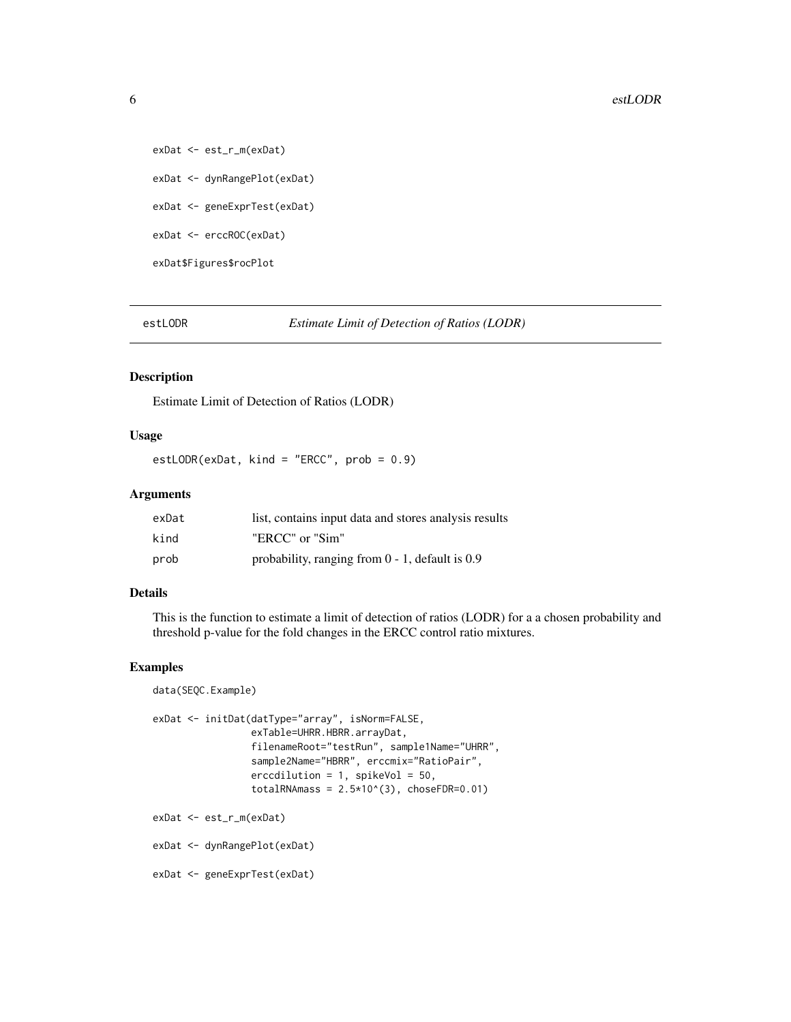exDat <- est\_r\_m(exDat) exDat <- dynRangePlot(exDat) exDat <- geneExprTest(exDat) exDat <- erccROC(exDat) exDat\$Figures\$rocPlot

estLODR *Estimate Limit of Detection of Ratios (LODR)*

## Description

Estimate Limit of Detection of Ratios (LODR)

#### Usage

estLODR(exDat, kind = "ERCC", prob = 0.9)

#### Arguments

| exDat | list, contains input data and stores analysis results |
|-------|-------------------------------------------------------|
| kind  | "ERCC" or "Sim"                                       |
| prob  | probability, ranging from $0 - 1$ , default is 0.9    |

#### Details

This is the function to estimate a limit of detection of ratios (LODR) for a a chosen probability and threshold p-value for the fold changes in the ERCC control ratio mixtures.

## Examples

```
data(SEQC.Example)
exDat <- initDat(datType="array", isNorm=FALSE,
                 exTable=UHRR.HBRR.arrayDat,
                 filenameRoot="testRun", sample1Name="UHRR",
                 sample2Name="HBRR", erccmix="RatioPair",
                 erccdilution = 1, spikeVol = 50,
                 totalRNAmass = 2.5*10^{(3)}, choseFDR=0.01)
exDat <- est_r_m(exDat)
exDat <- dynRangePlot(exDat)
exDat <- geneExprTest(exDat)
```
<span id="page-5-0"></span>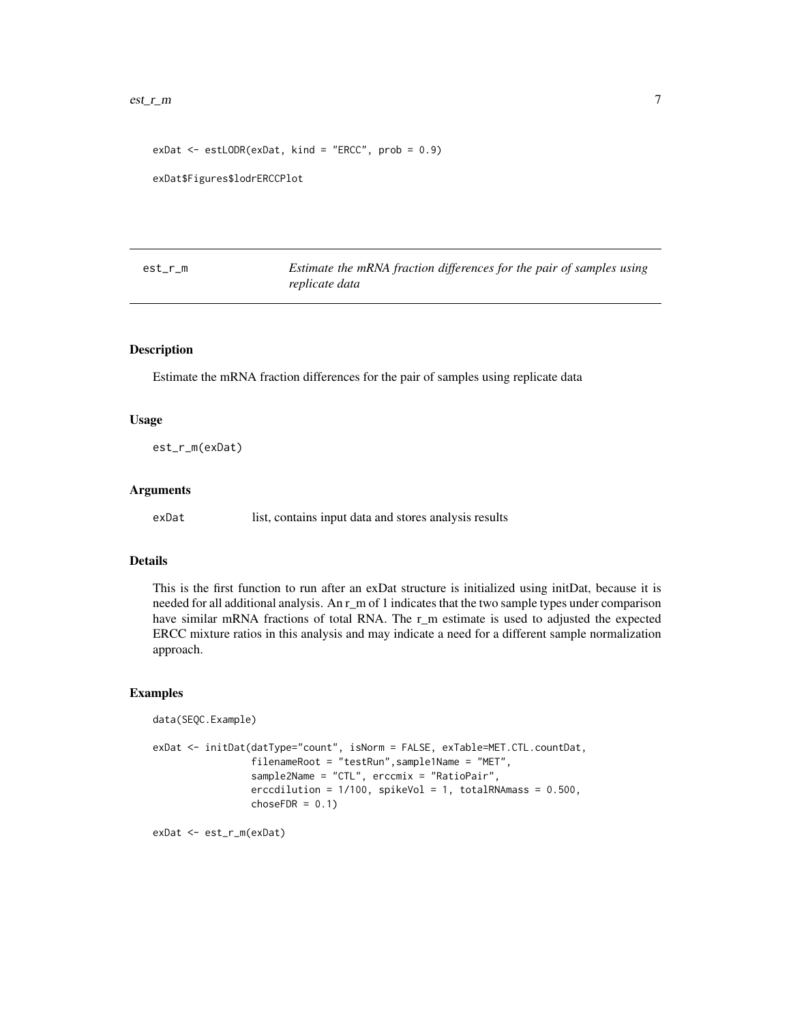```
exDat <- estLODR(exDat, kind = "ERCC", prob = 0.9)
```
exDat\$Figures\$lodrERCCPlot

| est_r_m | Estimate the mRNA fraction differences for the pair of samples using |
|---------|----------------------------------------------------------------------|
|         | replicate data                                                       |

## Description

Estimate the mRNA fraction differences for the pair of samples using replicate data

## Usage

est\_r\_m(exDat)

#### Arguments

exDat list, contains input data and stores analysis results

#### Details

This is the first function to run after an exDat structure is initialized using initDat, because it is needed for all additional analysis. An r\_m of 1 indicates that the two sample types under comparison have similar mRNA fractions of total RNA. The r\_m estimate is used to adjusted the expected ERCC mixture ratios in this analysis and may indicate a need for a different sample normalization approach.

#### Examples

```
data(SEQC.Example)
exDat <- initDat(datType="count", isNorm = FALSE, exTable=MET.CTL.countDat,
                filenameRoot = "testRun",sample1Name = "MET",
                sample2Name = "CTL", erccmix = "RatioPair",
                erccdilution = 1/100, spikeVol = 1, totalRNAmass = 0.500,
                chosen = 0.1)
```
exDat <- est\_r\_m(exDat)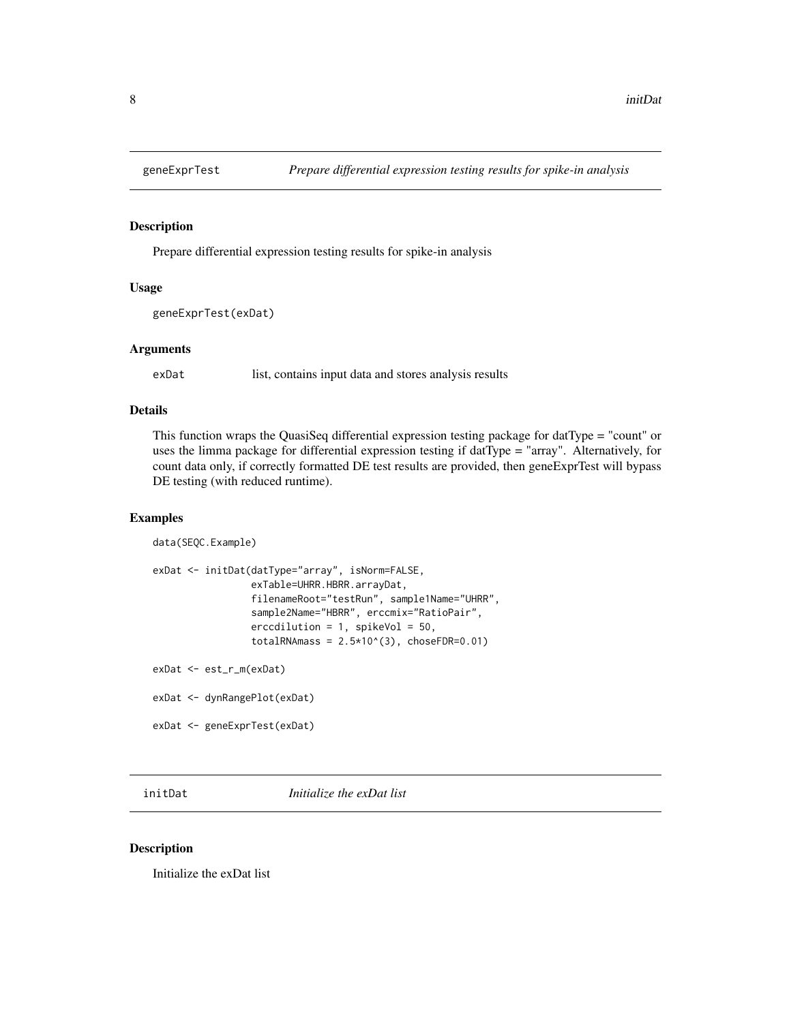<span id="page-7-0"></span>

Prepare differential expression testing results for spike-in analysis

#### Usage

```
geneExprTest(exDat)
```
#### Arguments

exDat list, contains input data and stores analysis results

## Details

This function wraps the QuasiSeq differential expression testing package for datType = "count" or uses the limma package for differential expression testing if datType = "array". Alternatively, for count data only, if correctly formatted DE test results are provided, then geneExprTest will bypass DE testing (with reduced runtime).

## Examples

```
data(SEQC.Example)
exDat <- initDat(datType="array", isNorm=FALSE,
                 exTable=UHRR.HBRR.arrayDat,
                 filenameRoot="testRun", sample1Name="UHRR",
                 sample2Name="HBRR", erccmix="RatioPair",
                 erccdilution = 1, spikeVol = 50,
                 totalRNAmass = 2.5*10^{(3)}, choseFDR=0.01)
exDat <- est_r_m(exDat)
exDat <- dynRangePlot(exDat)
exDat <- geneExprTest(exDat)
```
initDat *Initialize the exDat list*

#### Description

Initialize the exDat list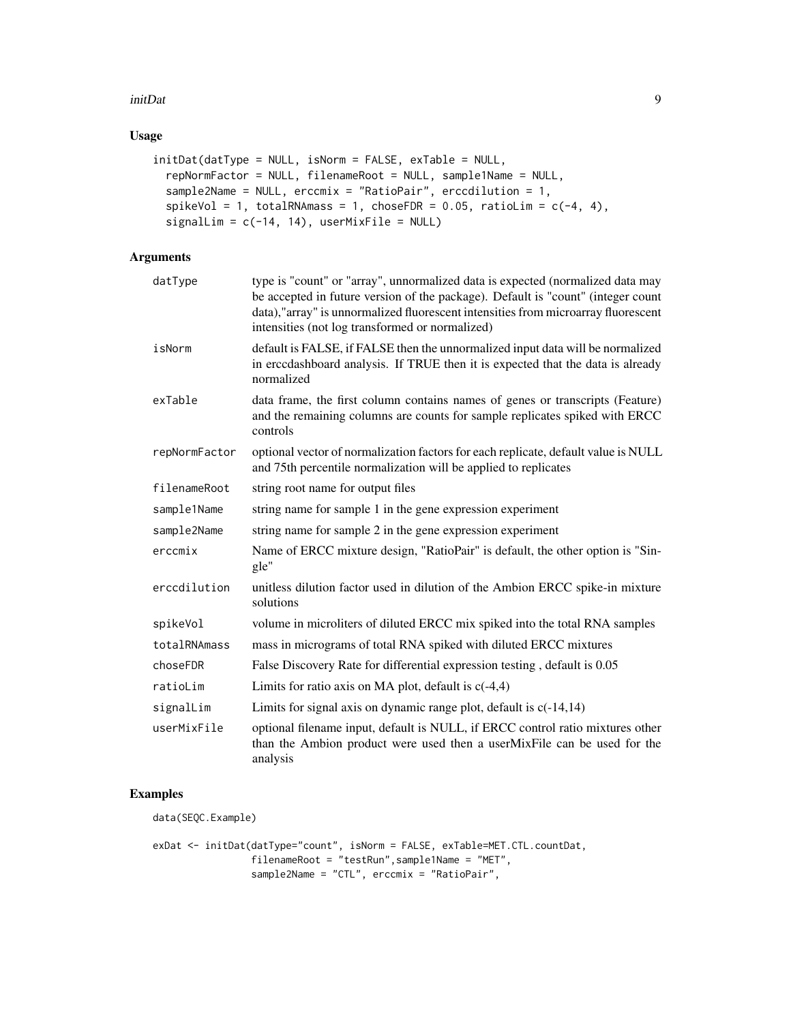#### initDat 9

## Usage

```
initDat(datType = NULL, isNorm = FALSE, exTable = NULL,
  repNormFactor = NULL, filenameRoot = NULL, sample1Name = NULL,
  sample2Name = NULL, erccmix = "RatioPair", erccdilution = 1,
  spikeVol = 1, totalRNAmass = 1, choseFDR = 0.05, ratioLim = c(-4, 4),
 signalLim = c(-14, 14), userMixFile = NULL)
```
## Arguments

| datType       | type is "count" or "array", unnormalized data is expected (normalized data may<br>be accepted in future version of the package). Default is "count" (integer count<br>data),"array" is unnormalized fluorescent intensities from microarray fluorescent<br>intensities (not log transformed or normalized) |
|---------------|------------------------------------------------------------------------------------------------------------------------------------------------------------------------------------------------------------------------------------------------------------------------------------------------------------|
| isNorm        | default is FALSE, if FALSE then the unnormalized input data will be normalized<br>in erccdashboard analysis. If TRUE then it is expected that the data is already<br>normalized                                                                                                                            |
| exTable       | data frame, the first column contains names of genes or transcripts (Feature)<br>and the remaining columns are counts for sample replicates spiked with ERCC<br>controls                                                                                                                                   |
| repNormFactor | optional vector of normalization factors for each replicate, default value is NULL<br>and 75th percentile normalization will be applied to replicates                                                                                                                                                      |
| filenameRoot  | string root name for output files                                                                                                                                                                                                                                                                          |
| sample1Name   | string name for sample 1 in the gene expression experiment                                                                                                                                                                                                                                                 |
| sample2Name   | string name for sample 2 in the gene expression experiment                                                                                                                                                                                                                                                 |
| erccmix       | Name of ERCC mixture design, "RatioPair" is default, the other option is "Sin-<br>gle"                                                                                                                                                                                                                     |
| erccdilution  | unitless dilution factor used in dilution of the Ambion ERCC spike-in mixture<br>solutions                                                                                                                                                                                                                 |
| spikeVol      | volume in microliters of diluted ERCC mix spiked into the total RNA samples                                                                                                                                                                                                                                |
| totalRNAmass  | mass in micrograms of total RNA spiked with diluted ERCC mixtures                                                                                                                                                                                                                                          |
| choseFDR      | False Discovery Rate for differential expression testing, default is 0.05                                                                                                                                                                                                                                  |
| ratioLim      | Limits for ratio axis on MA plot, default is $c(-4,4)$                                                                                                                                                                                                                                                     |
| signalLim     | Limits for signal axis on dynamic range plot, default is $c(-14,14)$                                                                                                                                                                                                                                       |
| userMixFile   | optional filename input, default is NULL, if ERCC control ratio mixtures other<br>than the Ambion product were used then a userMixFile can be used for the<br>analysis                                                                                                                                     |

## Examples

data(SEQC.Example)

exDat <- initDat(datType="count", isNorm = FALSE, exTable=MET.CTL.countDat, filenameRoot = "testRun",sample1Name = "MET", sample2Name = "CTL", erccmix = "RatioPair",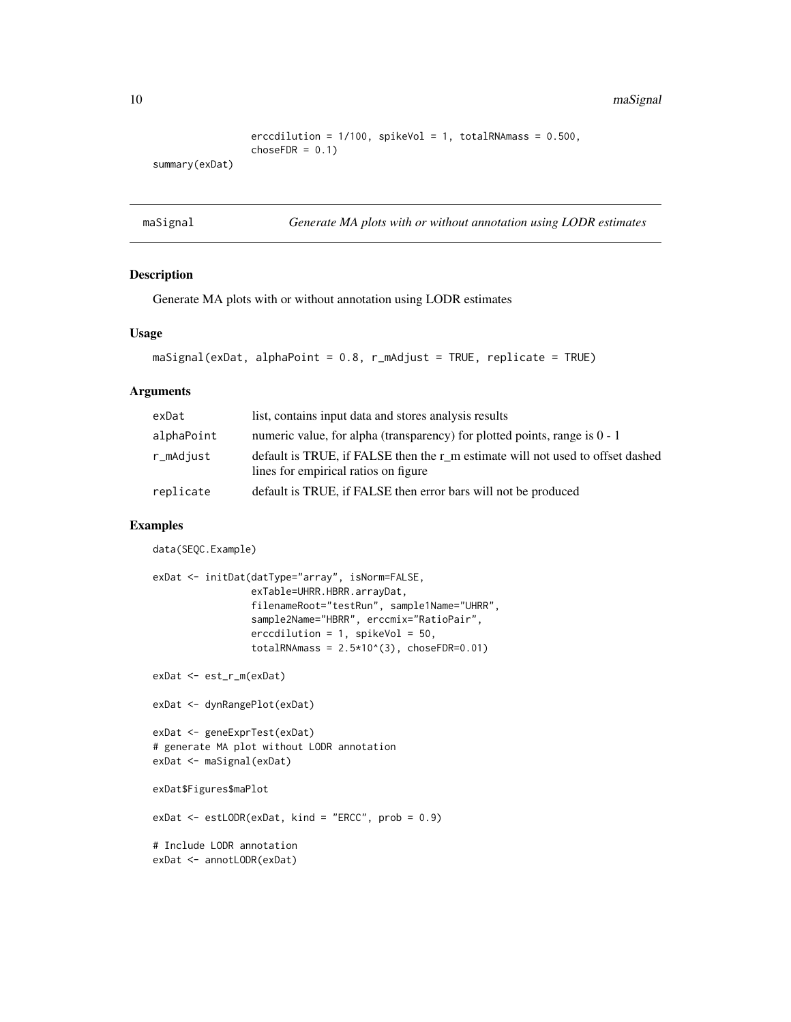<span id="page-9-0"></span>10 maSignal

```
erccdilution = 1/100, spikeVol = 1, totalRNAmass = 0.500,
chosen = 0.1)
```
summary(exDat)

maSignal *Generate MA plots with or without annotation using LODR estimates*

## Description

Generate MA plots with or without annotation using LODR estimates

#### Usage

```
maSignal(exDat, alphaPoint = 0.8, r_mAdjust = TRUE, replicate = TRUE)
```
## Arguments

| exDat      | list, contains input data and stores analysis results                                                                  |
|------------|------------------------------------------------------------------------------------------------------------------------|
| alphaPoint | numeric value, for alpha (transparency) for plotted points, range is $0 - 1$                                           |
| r_mAdjust  | default is TRUE, if FALSE then the r m estimate will not used to offset dashed<br>lines for empirical ratios on figure |
| replicate  | default is TRUE, if FALSE then error bars will not be produced                                                         |

## Examples

```
data(SEQC.Example)
exDat <- initDat(datType="array", isNorm=FALSE,
                 exTable=UHRR.HBRR.arrayDat,
                 filenameRoot="testRun", sample1Name="UHRR",
                 sample2Name="HBRR", erccmix="RatioPair",
                 erccdilution = 1, spikeVol = 50,
                 totalRNAmass = 2.5*10^{(3)}, choseFDR=0.01)
exDat <- est_r_m(exDat)
exDat <- dynRangePlot(exDat)
exDat <- geneExprTest(exDat)
# generate MA plot without LODR annotation
exDat <- maSignal(exDat)
exDat$Figures$maPlot
exDat <- estLODR(exDat, kind = "ERCC", prob = 0.9)
# Include LODR annotation
exDat <- annotLODR(exDat)
```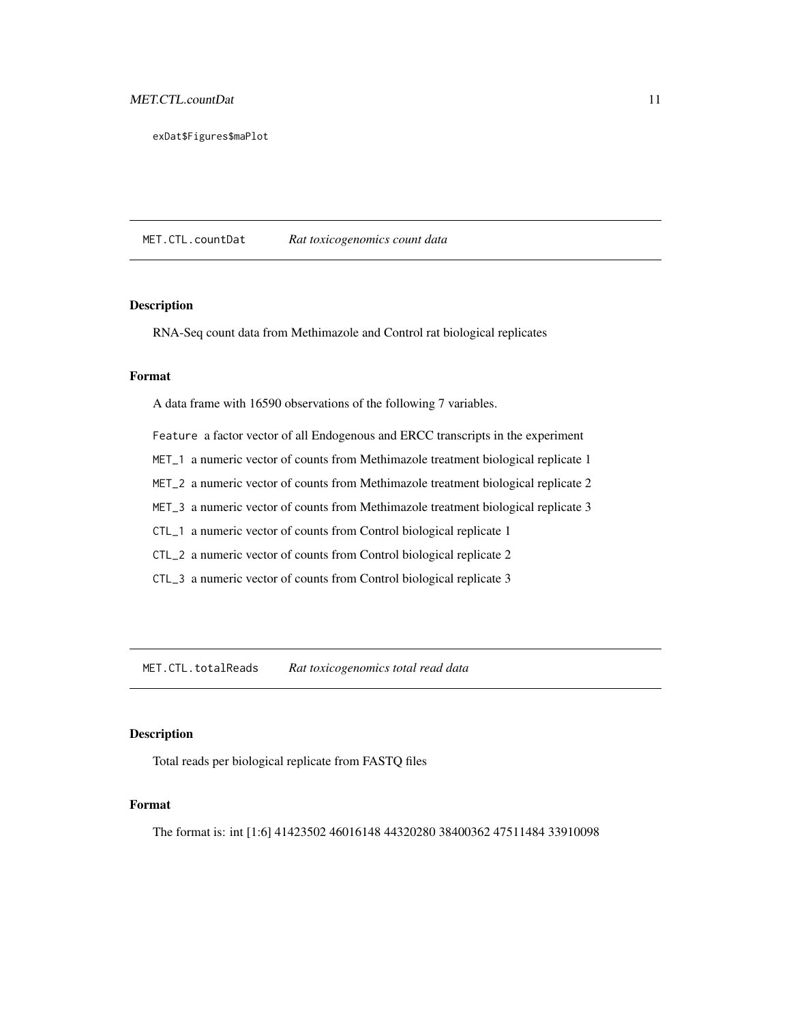<span id="page-10-0"></span>exDat\$Figures\$maPlot

MET.CTL.countDat *Rat toxicogenomics count data*

## Description

RNA-Seq count data from Methimazole and Control rat biological replicates

## Format

A data frame with 16590 observations of the following 7 variables.

Feature a factor vector of all Endogenous and ERCC transcripts in the experiment

MET\_1 a numeric vector of counts from Methimazole treatment biological replicate 1

MET\_2 a numeric vector of counts from Methimazole treatment biological replicate 2

MET\_3 a numeric vector of counts from Methimazole treatment biological replicate 3

CTL\_1 a numeric vector of counts from Control biological replicate 1

CTL\_2 a numeric vector of counts from Control biological replicate 2

CTL\_3 a numeric vector of counts from Control biological replicate 3

MET.CTL.totalReads *Rat toxicogenomics total read data*

#### Description

Total reads per biological replicate from FASTQ files

## Format

The format is: int [1:6] 41423502 46016148 44320280 38400362 47511484 33910098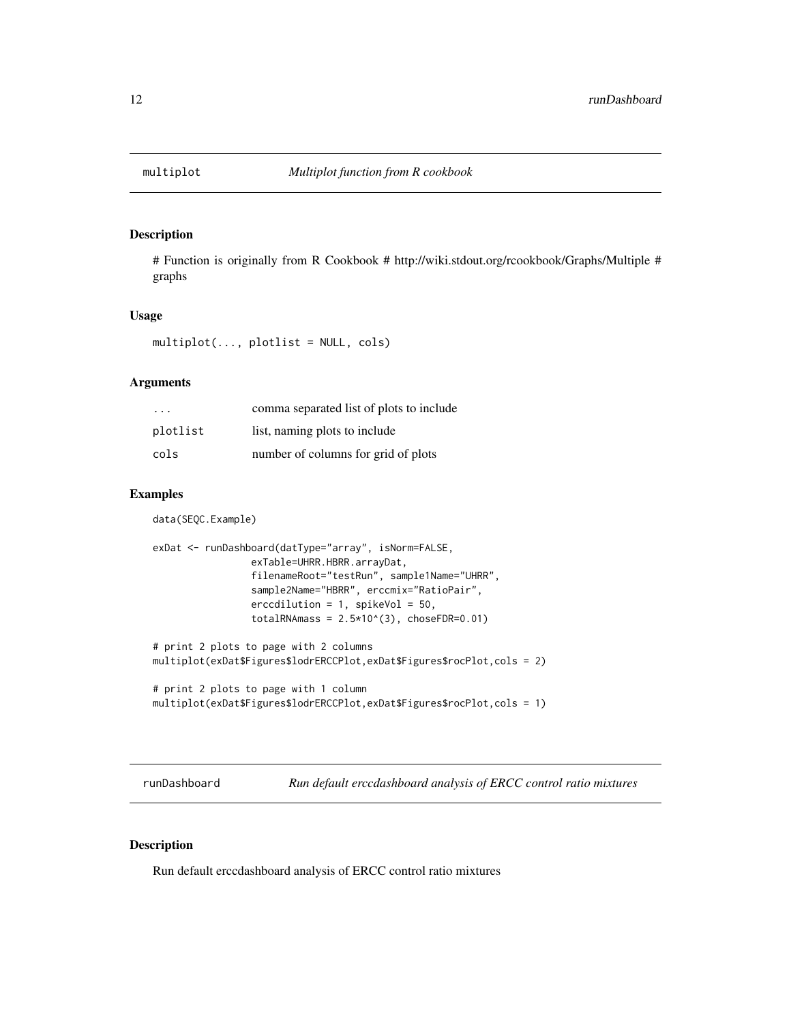<span id="page-11-0"></span>

# Function is originally from R Cookbook # http://wiki.stdout.org/rcookbook/Graphs/Multiple # graphs

#### Usage

multiplot(..., plotlist = NULL, cols)

## Arguments

| $\cdot$ $\cdot$ $\cdot$ | comma separated list of plots to include |
|-------------------------|------------------------------------------|
| plotlist                | list, naming plots to include            |
| cols                    | number of columns for grid of plots      |

#### Examples

data(SEQC.Example)

```
exDat <- runDashboard(datType="array", isNorm=FALSE,
                 exTable=UHRR.HBRR.arrayDat,
                 filenameRoot="testRun", sample1Name="UHRR",
                 sample2Name="HBRR", erccmix="RatioPair",
                 erccdilution = 1, spikeVol = 50,
                 totalRNAmass = 2.5*10^{(3)}, choseFDR=0.01)
# print 2 plots to page with 2 columns
multiplot(exDat$Figures$lodrERCCPlot,exDat$Figures$rocPlot,cols = 2)
# print 2 plots to page with 1 column
```

```
multiplot(exDat$Figures$lodrERCCPlot,exDat$Figures$rocPlot,cols = 1)
```
runDashboard *Run default erccdashboard analysis of ERCC control ratio mixtures*

## Description

Run default erccdashboard analysis of ERCC control ratio mixtures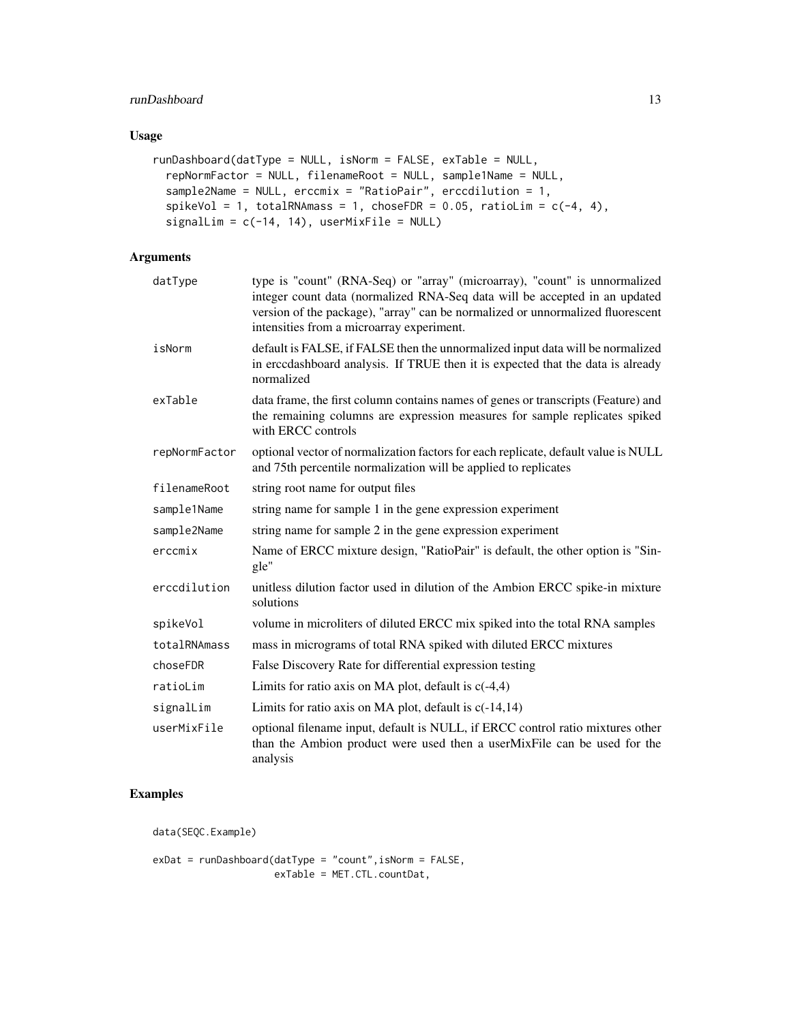## runDashboard 13

## Usage

```
runDashboard(datType = NULL, isNorm = FALSE, exTable = NULL,
  repNormFactor = NULL, filenameRoot = NULL, sample1Name = NULL,
 sample2Name = NULL, erccmix = "RatioPair", erccdilution = 1,
 spikeVol = 1, totalRNAmass = 1, choseFDR = 0.05, ratioLim = c(-4, 4),
 signalLim = c(-14, 14), userMixFile = NULL)
```
## Arguments

| datType       | type is "count" (RNA-Seq) or "array" (microarray), "count" is unnormalized<br>integer count data (normalized RNA-Seq data will be accepted in an updated<br>version of the package), "array" can be normalized or unnormalized fluorescent<br>intensities from a microarray experiment. |
|---------------|-----------------------------------------------------------------------------------------------------------------------------------------------------------------------------------------------------------------------------------------------------------------------------------------|
| isNorm        | default is FALSE, if FALSE then the unnormalized input data will be normalized<br>in erccdashboard analysis. If TRUE then it is expected that the data is already<br>normalized                                                                                                         |
| exTable       | data frame, the first column contains names of genes or transcripts (Feature) and<br>the remaining columns are expression measures for sample replicates spiked<br>with ERCC controls                                                                                                   |
| repNormFactor | optional vector of normalization factors for each replicate, default value is NULL<br>and 75th percentile normalization will be applied to replicates                                                                                                                                   |
| filenameRoot  | string root name for output files                                                                                                                                                                                                                                                       |
| sample1Name   | string name for sample 1 in the gene expression experiment                                                                                                                                                                                                                              |
| sample2Name   | string name for sample 2 in the gene expression experiment                                                                                                                                                                                                                              |
| erccmix       | Name of ERCC mixture design, "RatioPair" is default, the other option is "Sin-<br>gle"                                                                                                                                                                                                  |
| erccdilution  | unitless dilution factor used in dilution of the Ambion ERCC spike-in mixture<br>solutions                                                                                                                                                                                              |
| spikeVol      | volume in microliters of diluted ERCC mix spiked into the total RNA samples                                                                                                                                                                                                             |
| totalRNAmass  | mass in micrograms of total RNA spiked with diluted ERCC mixtures                                                                                                                                                                                                                       |
| choseFDR      | False Discovery Rate for differential expression testing                                                                                                                                                                                                                                |
| ratioLim      | Limits for ratio axis on MA plot, default is $c(-4,4)$                                                                                                                                                                                                                                  |
| signalLim     | Limits for ratio axis on MA plot, default is $c(-14,14)$                                                                                                                                                                                                                                |
| userMixFile   | optional filename input, default is NULL, if ERCC control ratio mixtures other<br>than the Ambion product were used then a userMixFile can be used for the<br>analysis                                                                                                                  |

## Examples

data(SEQC.Example)

exDat = runDashboard(datType = "count",isNorm = FALSE, exTable = MET.CTL.countDat,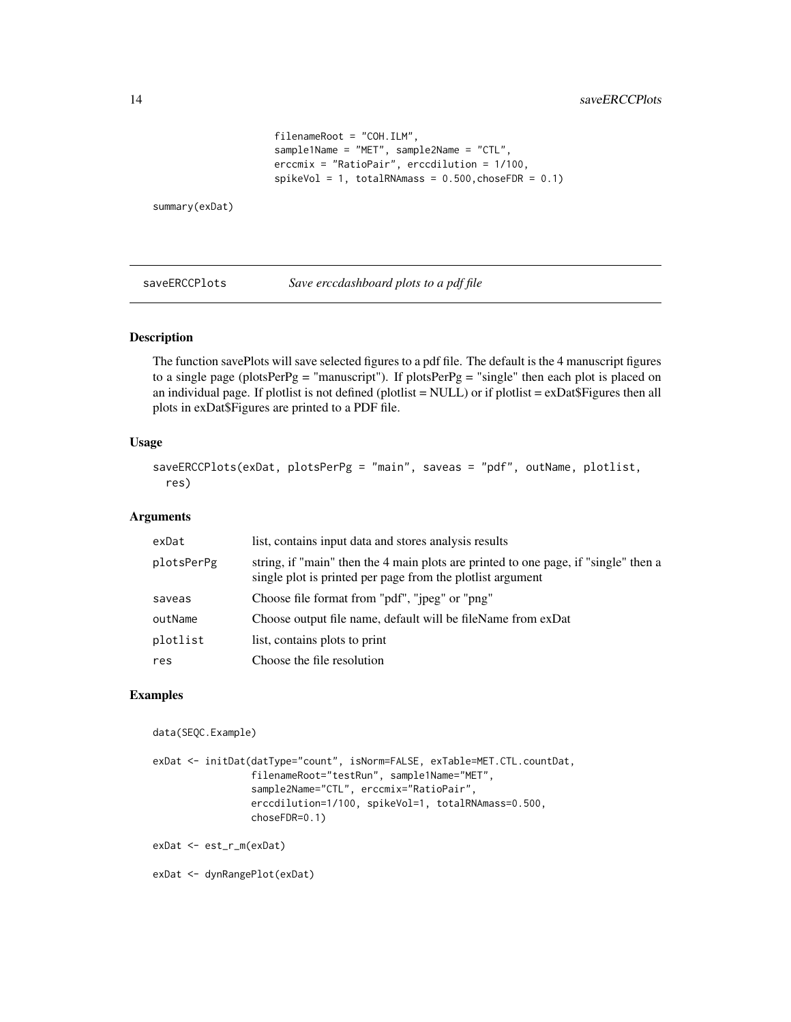```
filenameRoot = "COH.ILM",
sample1Name = "MET", sample2Name = "CTL",
erccmix = "RatioPair", erccdilution = 1/100,
spikeVol = 1, totalRNAmass = 0.500, choseFDR = 0.1)
```
<span id="page-13-0"></span>summary(exDat)

saveERCCPlots *Save erccdashboard plots to a pdf file*

#### Description

The function savePlots will save selected figures to a pdf file. The default is the 4 manuscript figures to a single page (plotsPerPg = "manuscript"). If plotsPerPg = "single" then each plot is placed on an individual page. If plotlist is not defined (plotlist = NULL) or if plotlist = exDat\$Figures then all plots in exDat\$Figures are printed to a PDF file.

#### Usage

```
saveERCCPlots(exDat, plotsPerPg = "main", saveas = "pdf", outName, plotlist,
  res)
```
## Arguments

| plotsPerPg<br>single plot is printed per page from the plot is argument<br>Choose file format from "pdf", "jpeg" or "png"<br>saveas<br>Choose output file name, default will be fileName from exDat<br>outName<br>list, contains plots to print<br>plotlist<br>Choose the file resolution<br>res | exDat | list, contains input data and stores analysis results                               |
|--------------------------------------------------------------------------------------------------------------------------------------------------------------------------------------------------------------------------------------------------------------------------------------------------|-------|-------------------------------------------------------------------------------------|
|                                                                                                                                                                                                                                                                                                  |       | string, if "main" then the 4 main plots are printed to one page, if "single" then a |
|                                                                                                                                                                                                                                                                                                  |       |                                                                                     |
|                                                                                                                                                                                                                                                                                                  |       |                                                                                     |
|                                                                                                                                                                                                                                                                                                  |       |                                                                                     |
|                                                                                                                                                                                                                                                                                                  |       |                                                                                     |

## Examples

```
data(SEQC.Example)
```

```
exDat <- initDat(datType="count", isNorm=FALSE, exTable=MET.CTL.countDat,
                 filenameRoot="testRun", sample1Name="MET",
                 sample2Name="CTL", erccmix="RatioPair",
                 erccdilution=1/100, spikeVol=1, totalRNAmass=0.500,
                 choseFDR=0.1)
exDat <- est_r_m(exDat)
```
exDat <- dynRangePlot(exDat)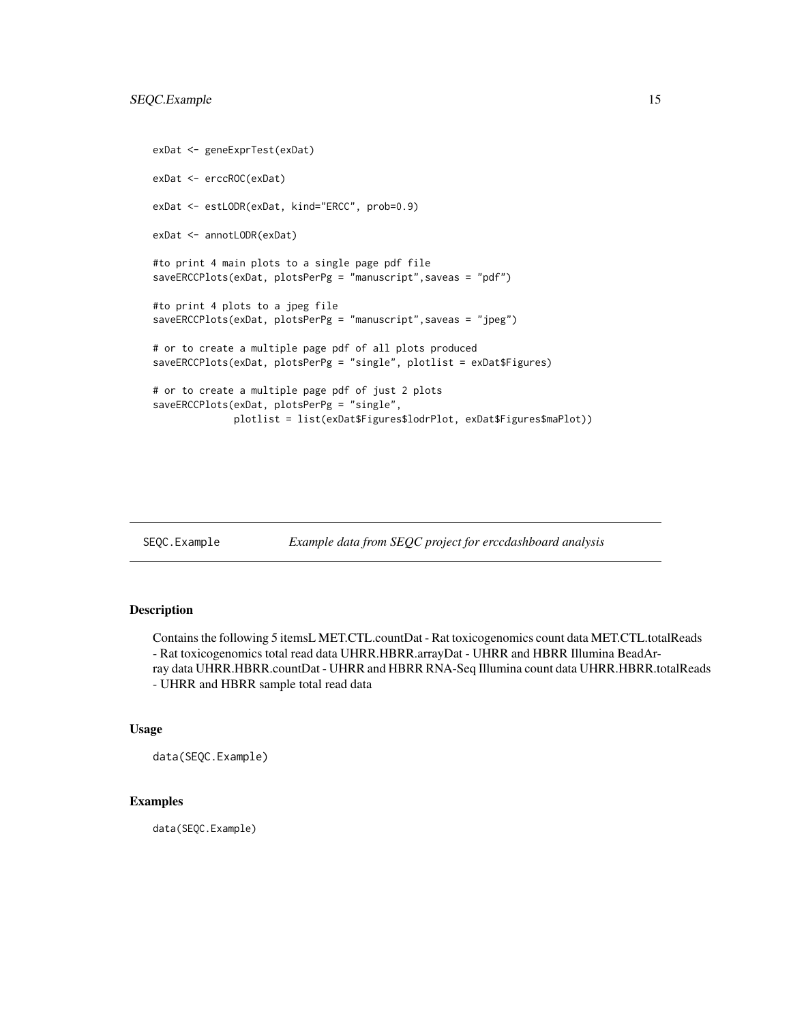```
exDat <- geneExprTest(exDat)
exDat <- erccROC(exDat)
exDat <- estLODR(exDat, kind="ERCC", prob=0.9)
exDat <- annotLODR(exDat)
#to print 4 main plots to a single page pdf file
saveERCCPlots(exDat, plotsPerPg = "manuscript",saveas = "pdf")
#to print 4 plots to a jpeg file
saveERCCPlots(exDat, plotsPerPg = "manuscript",saveas = "jpeg")
# or to create a multiple page pdf of all plots produced
saveERCCPlots(exDat, plotsPerPg = "single", plotlist = exDat$Figures)
# or to create a multiple page pdf of just 2 plots
saveERCCPlots(exDat, plotsPerPg = "single",
              plotlist = list(exDat$Figures$lodrPlot, exDat$Figures$maPlot))
```
SEQC.Example *Example data from SEQC project for erccdashboard analysis*

## Description

Contains the following 5 itemsL MET.CTL.countDat - Rat toxicogenomics count data MET.CTL.totalReads - Rat toxicogenomics total read data UHRR.HBRR.arrayDat - UHRR and HBRR Illumina BeadArray data UHRR.HBRR.countDat - UHRR and HBRR RNA-Seq Illumina count data UHRR.HBRR.totalReads - UHRR and HBRR sample total read data

#### Usage

data(SEQC.Example)

## Examples

data(SEQC.Example)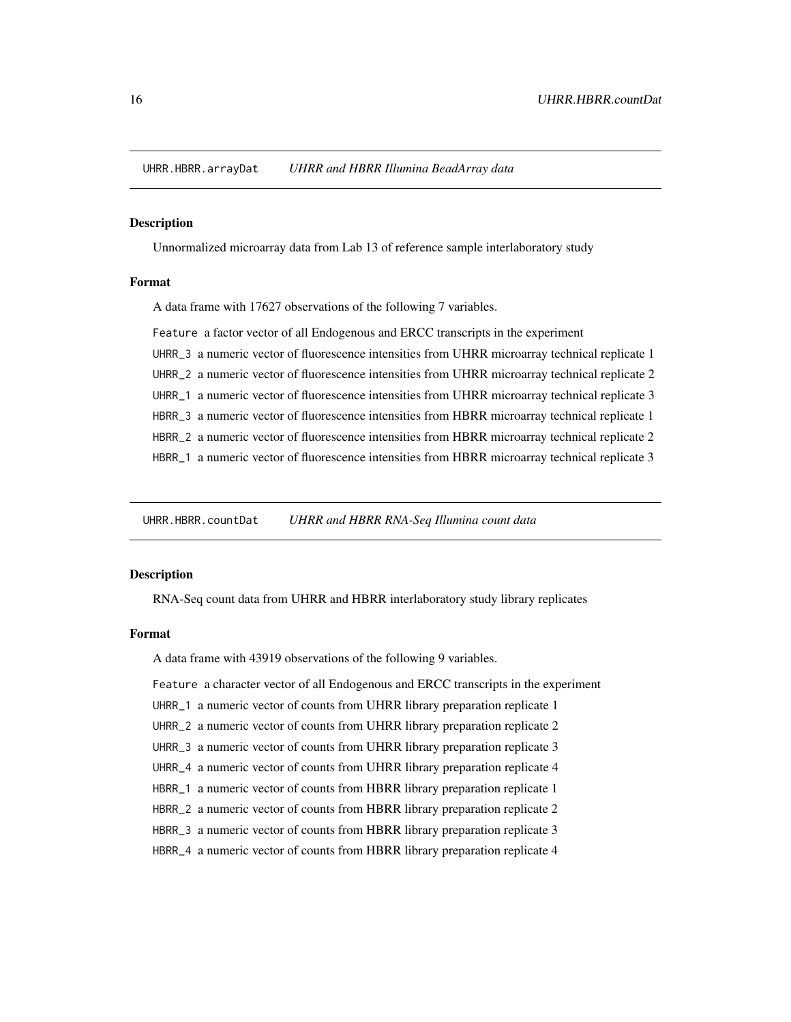<span id="page-15-0"></span>UHRR.HBRR.arrayDat *UHRR and HBRR Illumina BeadArray data*

#### Description

Unnormalized microarray data from Lab 13 of reference sample interlaboratory study

#### Format

A data frame with 17627 observations of the following 7 variables.

Feature a factor vector of all Endogenous and ERCC transcripts in the experiment UHRR\_3 a numeric vector of fluorescence intensities from UHRR microarray technical replicate 1 UHRR\_2 a numeric vector of fluorescence intensities from UHRR microarray technical replicate 2 UHRR\_1 a numeric vector of fluorescence intensities from UHRR microarray technical replicate 3 HBRR\_3 a numeric vector of fluorescence intensities from HBRR microarray technical replicate 1 HBRR\_2 a numeric vector of fluorescence intensities from HBRR microarray technical replicate 2 HBRR\_1 a numeric vector of fluorescence intensities from HBRR microarray technical replicate 3

UHRR.HBRR.countDat *UHRR and HBRR RNA-Seq Illumina count data*

#### Description

RNA-Seq count data from UHRR and HBRR interlaboratory study library replicates

#### Format

A data frame with 43919 observations of the following 9 variables.

Feature a character vector of all Endogenous and ERCC transcripts in the experiment

- UHRR\_1 a numeric vector of counts from UHRR library preparation replicate 1
- UHRR\_2 a numeric vector of counts from UHRR library preparation replicate 2
- UHRR\_3 a numeric vector of counts from UHRR library preparation replicate 3
- UHRR\_4 a numeric vector of counts from UHRR library preparation replicate 4
- HBRR\_1 a numeric vector of counts from HBRR library preparation replicate 1
- HBRR\_2 a numeric vector of counts from HBRR library preparation replicate 2
- HBRR\_3 a numeric vector of counts from HBRR library preparation replicate 3
- HBRR\_4 a numeric vector of counts from HBRR library preparation replicate 4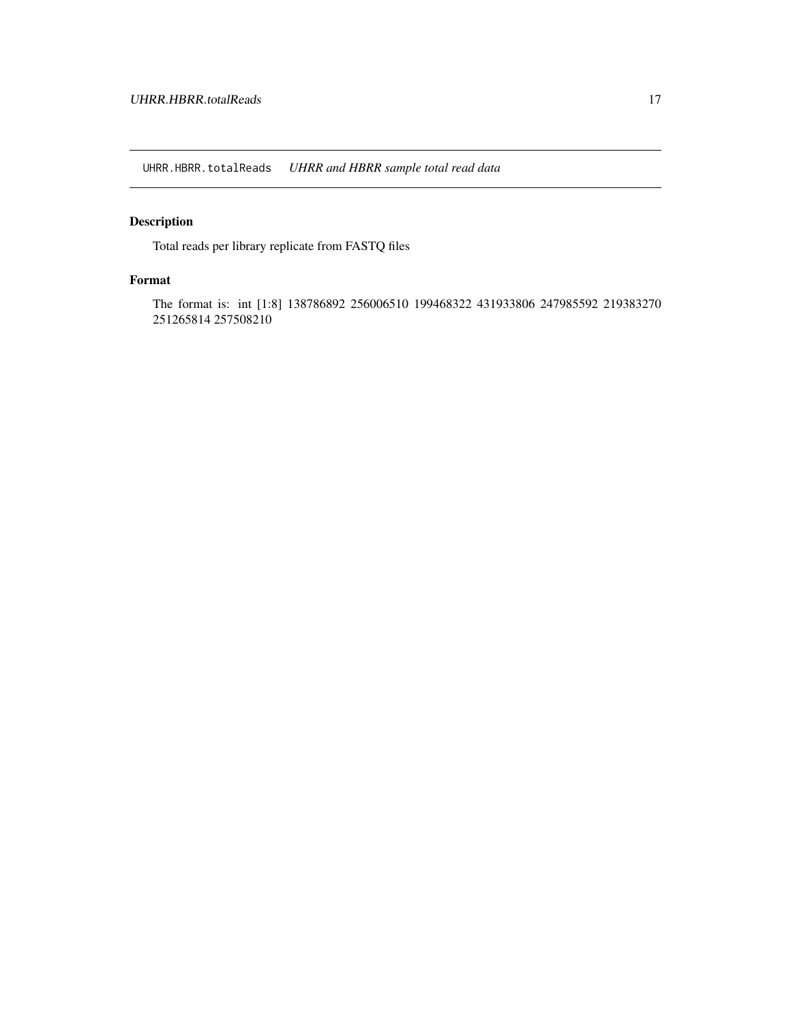<span id="page-16-0"></span>UHRR.HBRR.totalReads *UHRR and HBRR sample total read data*

## Description

Total reads per library replicate from FASTQ files

## Format

The format is: int [1:8] 138786892 256006510 199468322 431933806 247985592 219383270 251265814 257508210